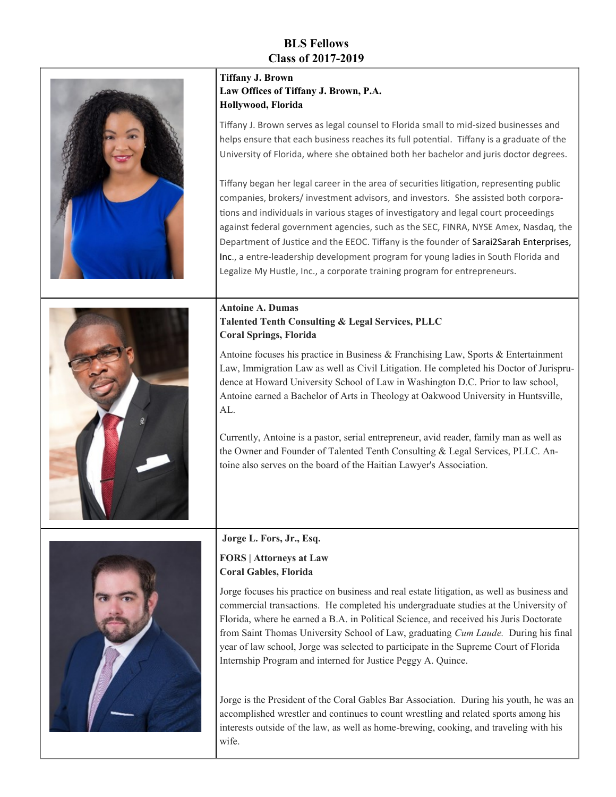## **BLS Fellows Class of 2017-2019**

| <b>Tiffany J. Brown</b><br>Law Offices of Tiffany J. Brown, P.A.<br>Hollywood, Florida<br>Tiffany J. Brown serves as legal counsel to Florida small to mid-sized businesses and<br>helps ensure that each business reaches its full potential. Tiffany is a graduate of the<br>University of Florida, where she obtained both her bachelor and juris doctor degrees.<br>Tiffany began her legal career in the area of securities litigation, representing public<br>companies, brokers/investment advisors, and investors. She assisted both corpora-<br>tions and individuals in various stages of investigatory and legal court proceedings<br>against federal government agencies, such as the SEC, FINRA, NYSE Amex, Nasdaq, the<br>Department of Justice and the EEOC. Tiffany is the founder of Sarai2Sarah Enterprises,<br>Inc., a entre-leadership development program for young ladies in South Florida and<br>Legalize My Hustle, Inc., a corporate training program for entrepreneurs. |
|---------------------------------------------------------------------------------------------------------------------------------------------------------------------------------------------------------------------------------------------------------------------------------------------------------------------------------------------------------------------------------------------------------------------------------------------------------------------------------------------------------------------------------------------------------------------------------------------------------------------------------------------------------------------------------------------------------------------------------------------------------------------------------------------------------------------------------------------------------------------------------------------------------------------------------------------------------------------------------------------------|
| <b>Antoine A. Dumas</b><br>Talented Tenth Consulting & Legal Services, PLLC<br><b>Coral Springs, Florida</b><br>Antoine focuses his practice in Business & Franchising Law, Sports & Entertainment<br>Law, Immigration Law as well as Civil Litigation. He completed his Doctor of Jurispru-<br>dence at Howard University School of Law in Washington D.C. Prior to law school,<br>Antoine earned a Bachelor of Arts in Theology at Oakwood University in Huntsville,<br>AL.<br>Currently, Antoine is a pastor, serial entrepreneur, avid reader, family man as well as<br>the Owner and Founder of Talented Tenth Consulting & Legal Services, PLLC. An-<br>toine also serves on the board of the Haitian Lawyer's Association.                                                                                                                                                                                                                                                                 |
| Jorge L. Fors, Jr., Esq.<br><b>FORS</b>   Attorneys at Law<br><b>Coral Gables, Florida</b><br>Jorge focuses his practice on business and real estate litigation, as well as business and<br>commercial transactions. He completed his undergraduate studies at the University of<br>Florida, where he earned a B.A. in Political Science, and received his Juris Doctorate<br>from Saint Thomas University School of Law, graduating Cum Laude. During his final<br>year of law school, Jorge was selected to participate in the Supreme Court of Florida<br>Internship Program and interned for Justice Peggy A. Quince.<br>Jorge is the President of the Coral Gables Bar Association. During his youth, he was an                                                                                                                                                                                                                                                                              |

n, he was an accomplished wrestler and continues to count wrestling and related sports among his interests outside of the law, as well as home-brewing, cooking, and traveling with his wife.